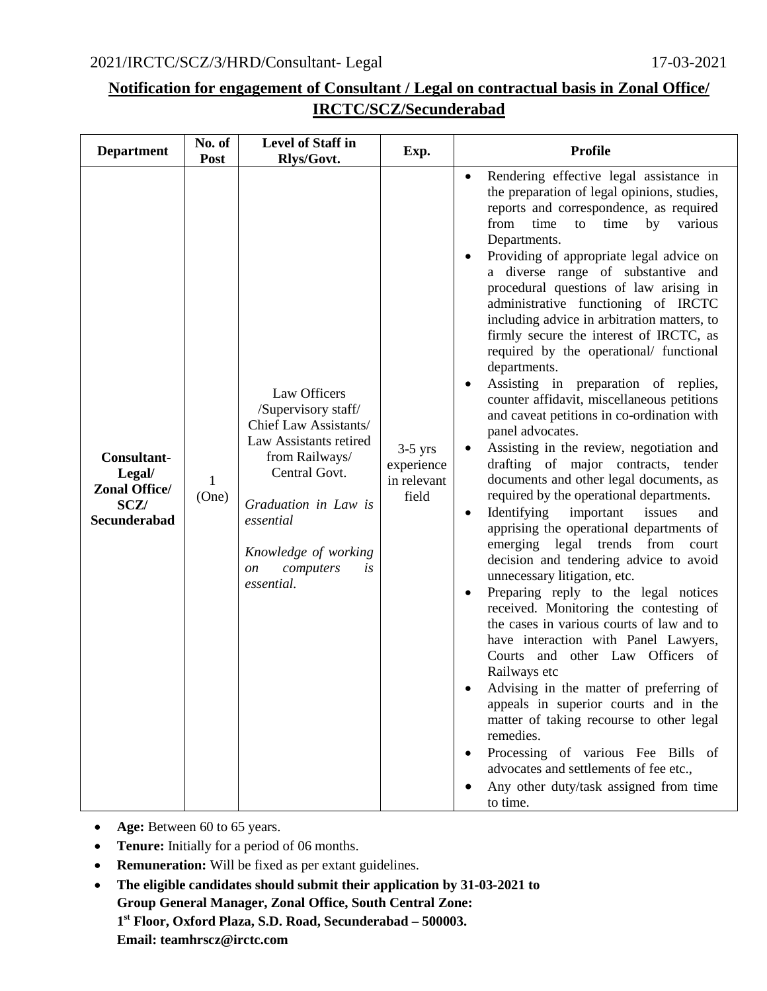## 2021/IRCTC/SCZ/3/HRD/Consultant- Legal 17-03-2021

## **Notification for engagement of Consultant / Legal on contractual basis in Zonal Office/ IRCTC/SCZ/Secunderabad**

| <b>Department</b>                                                                   | No. of<br>Post | Level of Staff in<br>Rlys/Govt.                                                                                                                                                                                                          | Exp.                                            | <b>Profile</b>                                                                                                                                                                                                                                                                                                                                                                                                                                                                                                                                                                                                                                                                                                                                                                                                                                                                                                                                                                                                                                                                                                                                                                                                                                                                                                                                                                                                                                                                                                                                                                                                            |
|-------------------------------------------------------------------------------------|----------------|------------------------------------------------------------------------------------------------------------------------------------------------------------------------------------------------------------------------------------------|-------------------------------------------------|---------------------------------------------------------------------------------------------------------------------------------------------------------------------------------------------------------------------------------------------------------------------------------------------------------------------------------------------------------------------------------------------------------------------------------------------------------------------------------------------------------------------------------------------------------------------------------------------------------------------------------------------------------------------------------------------------------------------------------------------------------------------------------------------------------------------------------------------------------------------------------------------------------------------------------------------------------------------------------------------------------------------------------------------------------------------------------------------------------------------------------------------------------------------------------------------------------------------------------------------------------------------------------------------------------------------------------------------------------------------------------------------------------------------------------------------------------------------------------------------------------------------------------------------------------------------------------------------------------------------------|
| Consultant-<br>Legal/<br><b>Zonal Office/</b><br><b>SCZ/</b><br><b>Secunderabad</b> | 1<br>(One)     | Law Officers<br>/Supervisory staff/<br>Chief Law Assistants/<br>Law Assistants retired<br>from Railways/<br>Central Govt.<br>Graduation in Law is<br>essential<br>Knowledge of working<br>computers<br>is<br><sub>on</sub><br>essential. | $3-5$ yrs<br>experience<br>in relevant<br>field | Rendering effective legal assistance in<br>the preparation of legal opinions, studies,<br>reports and correspondence, as required<br>from<br>time<br>various<br>time<br>to<br>by<br>Departments.<br>Providing of appropriate legal advice on<br>a diverse range of substantive and<br>procedural questions of law arising in<br>administrative functioning of IRCTC<br>including advice in arbitration matters, to<br>firmly secure the interest of IRCTC, as<br>required by the operational/ functional<br>departments.<br>Assisting in preparation of replies,<br>$\bullet$<br>counter affidavit, miscellaneous petitions<br>and caveat petitions in co-ordination with<br>panel advocates.<br>Assisting in the review, negotiation and<br>drafting of major contracts, tender<br>documents and other legal documents, as<br>required by the operational departments.<br>Identifying<br>important<br>issues<br>and<br>$\bullet$<br>apprising the operational departments of<br>emerging legal trends from<br>court<br>decision and tendering advice to avoid<br>unnecessary litigation, etc.<br>Preparing reply to the legal notices<br>$\bullet$<br>received. Monitoring the contesting of<br>the cases in various courts of law and to<br>have interaction with Panel Lawyers,<br>Courts and other Law Officers of<br>Railways etc<br>Advising in the matter of preferring of<br>appeals in superior courts and in the<br>matter of taking recourse to other legal<br>remedies.<br>Processing of various Fee Bills of<br>advocates and settlements of fee etc.,<br>Any other duty/task assigned from time<br>to time. |

- **Age:** Between 60 to 65 years.
- **Tenure:** Initially for a period of 06 months.
- **Remuneration:** Will be fixed as per extant guidelines.
- **The eligible candidates should submit their application by 31-03-2021 to Group General Manager, Zonal Office, South Central Zone: 1st Floor, Oxford Plaza, S.D. Road, Secunderabad – 500003. Email: teamhrscz@irctc.com**